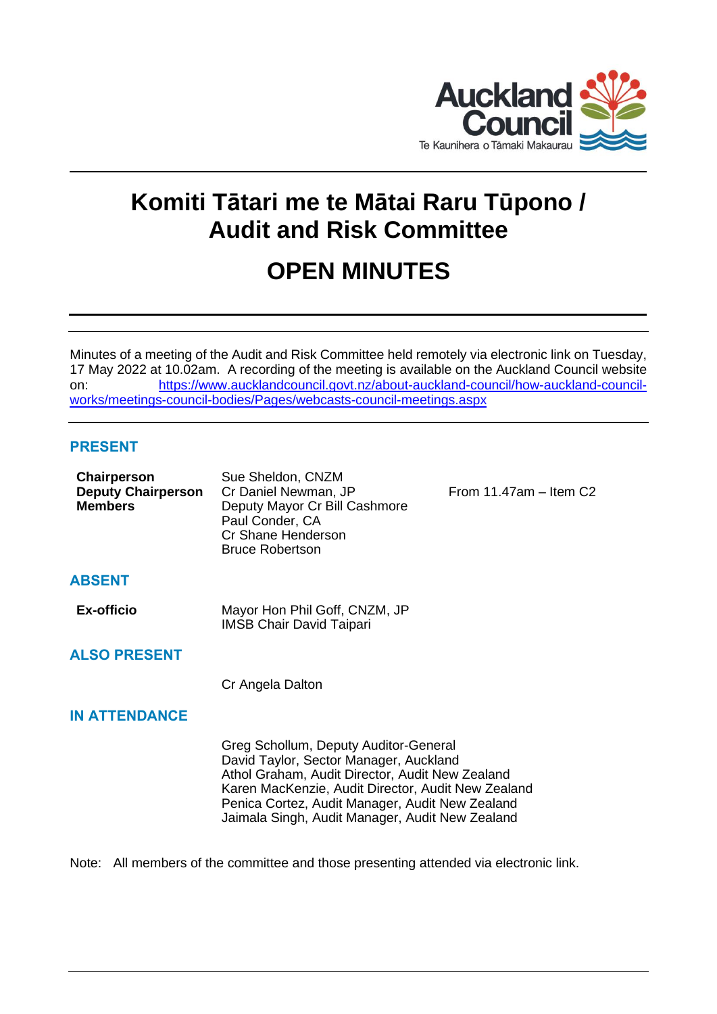

# **Komiti Tātari me te Mātai Raru Tūpono / Audit and Risk Committee**

# **OPEN MINUTES**

Minutes of a meeting of the Audit and Risk Committee held remotely via electronic link on Tuesday, 17 May 2022 at 10.02am. A recording of the meeting is available on the Auckland Council website on: [https://www.aucklandcouncil.govt.nz/about-auckland-council/how-auckland-council](https://www.aucklandcouncil.govt.nz/about-auckland-council/how-auckland-council-works/meetings-council-bodies/Pages/webcasts-council-meetings.aspx)[works/meetings-council-bodies/Pages/webcasts-council-meetings.aspx](https://www.aucklandcouncil.govt.nz/about-auckland-council/how-auckland-council-works/meetings-council-bodies/Pages/webcasts-council-meetings.aspx)

# **PRESENT**

| <b>ABSENT</b><br><b>Ex-officio</b><br>Mayor Hon Phil Goff, CNZM, JP<br><b>IMSB Chair David Taipari</b><br><b>ALSO PRESENT</b><br>Cr Angela Dalton<br><b>IN ATTENDANCE</b><br>Greg Schollum, Deputy Auditor-General<br>David Taylor, Sector Manager, Auckland<br>Athol Graham, Audit Director, Audit New Zealand<br>Karen MacKenzie, Audit Director, Audit New Zealand<br>Penica Cortez, Audit Manager, Audit New Zealand<br>Jaimala Singh, Audit Manager, Audit New Zealand | Chairperson<br><b>Deputy Chairperson</b><br><b>Members</b> | Sue Sheldon, CNZM<br>Cr Daniel Newman, JP<br>Deputy Mayor Cr Bill Cashmore<br>Paul Conder, CA<br>Cr Shane Henderson<br><b>Bruce Robertson</b> | From $11.47$ am $-$ Item C2 |
|-----------------------------------------------------------------------------------------------------------------------------------------------------------------------------------------------------------------------------------------------------------------------------------------------------------------------------------------------------------------------------------------------------------------------------------------------------------------------------|------------------------------------------------------------|-----------------------------------------------------------------------------------------------------------------------------------------------|-----------------------------|
|                                                                                                                                                                                                                                                                                                                                                                                                                                                                             |                                                            |                                                                                                                                               |                             |
|                                                                                                                                                                                                                                                                                                                                                                                                                                                                             |                                                            |                                                                                                                                               |                             |
|                                                                                                                                                                                                                                                                                                                                                                                                                                                                             |                                                            |                                                                                                                                               |                             |
|                                                                                                                                                                                                                                                                                                                                                                                                                                                                             |                                                            |                                                                                                                                               |                             |
|                                                                                                                                                                                                                                                                                                                                                                                                                                                                             |                                                            |                                                                                                                                               |                             |
|                                                                                                                                                                                                                                                                                                                                                                                                                                                                             |                                                            |                                                                                                                                               |                             |

Note: All members of the committee and those presenting attended via electronic link.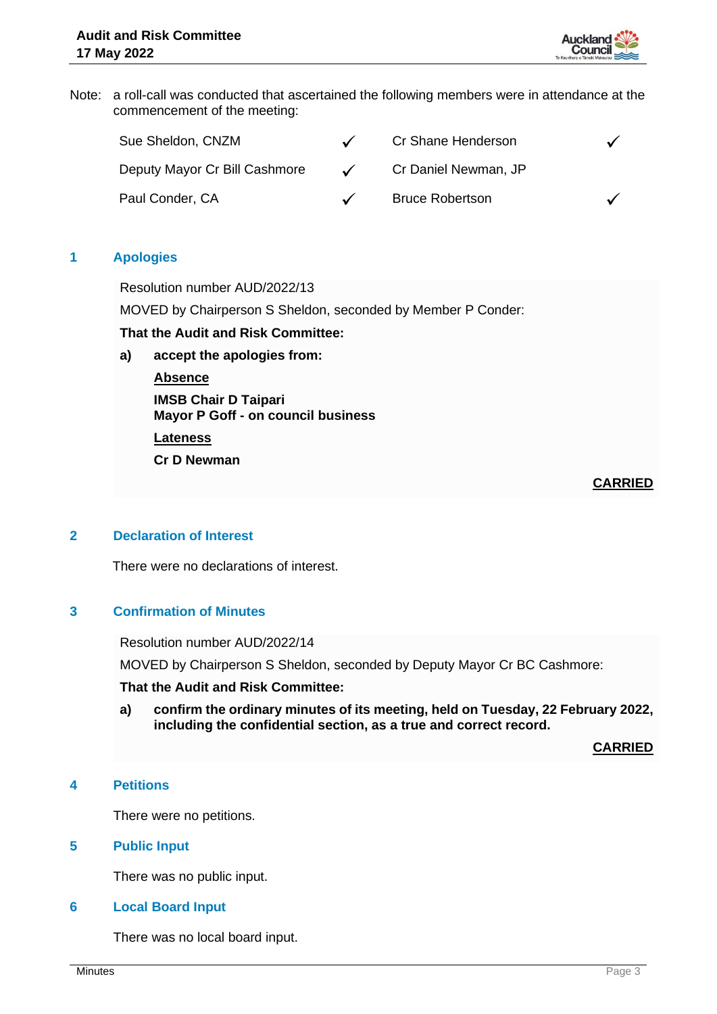

Note: a roll-call was conducted that ascertained the following members were in attendance at the commencement of the meeting:

| Sue Sheldon, CNZM             |            | Cr Shane Henderson     |  |
|-------------------------------|------------|------------------------|--|
| Deputy Mayor Cr Bill Cashmore | $\sqrt{ }$ | Cr Daniel Newman, JP   |  |
| Paul Conder, CA               |            | <b>Bruce Robertson</b> |  |

# **1 Apologies**

Resolution number AUD/2022/13

MOVED by Chairperson S Sheldon, seconded by Member P Conder:

# **That the Audit and Risk Committee:**

**a) accept the apologies from:**

**Absence**

**IMSB Chair D Taipari Mayor P Goff - on council business**

**Lateness**

**Cr D Newman**

**CARRIED**

# **2 Declaration of Interest**

There were no declarations of interest.

# **3 Confirmation of Minutes**

Resolution number AUD/2022/14

MOVED by Chairperson S Sheldon, seconded by Deputy Mayor Cr BC Cashmore:

#### **That the Audit and Risk Committee:**

**a) confirm the ordinary minutes of its meeting, held on Tuesday, 22 February 2022, including the confidential section, as a true and correct record.**

**CARRIED**

# **4 Petitions**

There were no petitions.

#### **5 Public Input**

There was no public input.

#### **6 Local Board Input**

There was no local board input.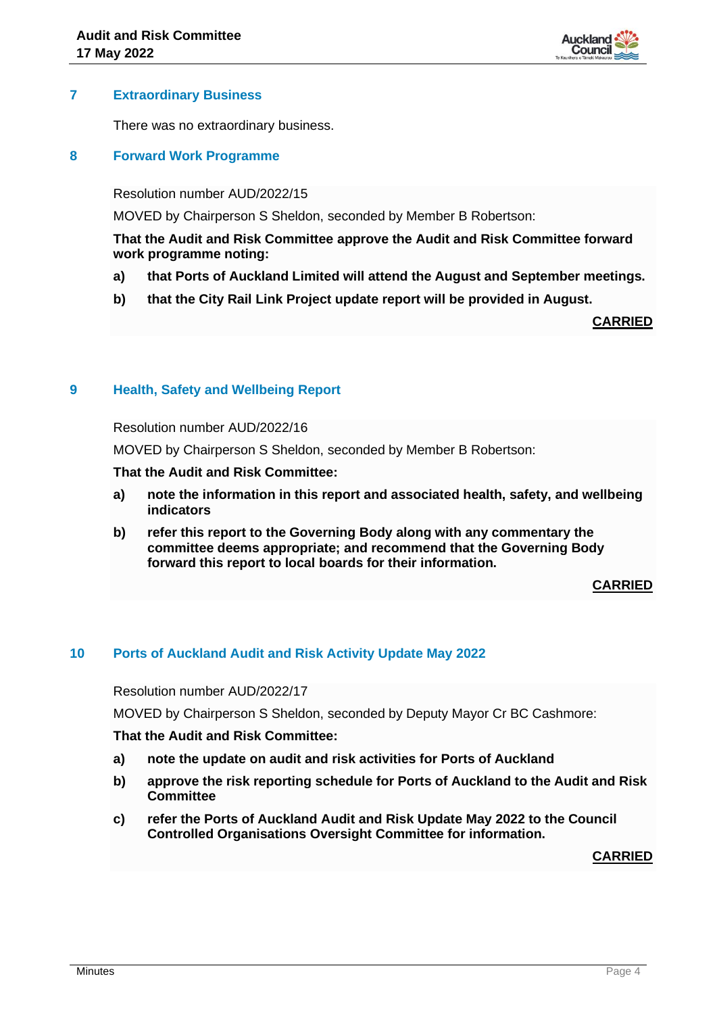

# **7 Extraordinary Business**

There was no extraordinary business.

# **8 Forward Work Programme**

Resolution number AUD/2022/15

MOVED by Chairperson S Sheldon, seconded by Member B Robertson:

# **That the Audit and Risk Committee approve the Audit and Risk Committee forward work programme noting:**

- **a) that Ports of Auckland Limited will attend the August and September meetings.**
- **b) that the City Rail Link Project update report will be provided in August.**

**CARRIED**

# **9 Health, Safety and Wellbeing Report**

Resolution number AUD/2022/16

MOVED by Chairperson S Sheldon, seconded by Member B Robertson:

# **That the Audit and Risk Committee:**

- **a) note the information in this report and associated health, safety, and wellbeing indicators**
- **b) refer this report to the Governing Body along with any commentary the committee deems appropriate; and recommend that the Governing Body forward this report to local boards for their information.**

**CARRIED**

# **10 Ports of Auckland Audit and Risk Activity Update May 2022**

Resolution number AUD/2022/17

MOVED by Chairperson S Sheldon, seconded by Deputy Mayor Cr BC Cashmore:

# **That the Audit and Risk Committee:**

- **a) note the update on audit and risk activities for Ports of Auckland**
- **b) approve the risk reporting schedule for Ports of Auckland to the Audit and Risk Committee**
- **c) refer the Ports of Auckland Audit and Risk Update May 2022 to the Council Controlled Organisations Oversight Committee for information.**

**CARRIED**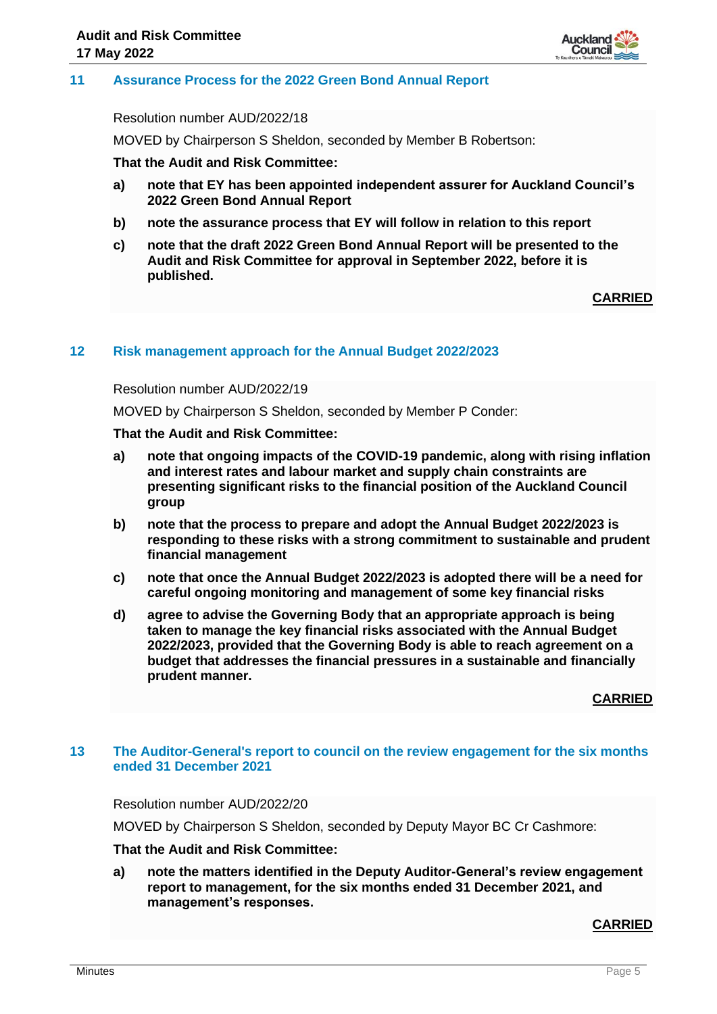

#### **11 Assurance Process for the 2022 Green Bond Annual Report**

Resolution number AUD/2022/18

MOVED by Chairperson S Sheldon, seconded by Member B Robertson:

**That the Audit and Risk Committee:**

- **a) note that EY has been appointed independent assurer for Auckland Council's 2022 Green Bond Annual Report**
- **b) note the assurance process that EY will follow in relation to this report**
- **c) note that the draft 2022 Green Bond Annual Report will be presented to the Audit and Risk Committee for approval in September 2022, before it is published.**

**CARRIED**

#### **12 Risk management approach for the Annual Budget 2022/2023**

Resolution number AUD/2022/19

MOVED by Chairperson S Sheldon, seconded by Member P Conder:

**That the Audit and Risk Committee:**

- **a) note that ongoing impacts of the COVID-19 pandemic, along with rising inflation and interest rates and labour market and supply chain constraints are presenting significant risks to the financial position of the Auckland Council group**
- **b) note that the process to prepare and adopt the Annual Budget 2022/2023 is responding to these risks with a strong commitment to sustainable and prudent financial management**
- **c) note that once the Annual Budget 2022/2023 is adopted there will be a need for careful ongoing monitoring and management of some key financial risks**
- **d) agree to advise the Governing Body that an appropriate approach is being taken to manage the key financial risks associated with the Annual Budget 2022/2023, provided that the Governing Body is able to reach agreement on a budget that addresses the financial pressures in a sustainable and financially prudent manner.**

**CARRIED**

#### **13 The Auditor-General's report to council on the review engagement for the six months ended 31 December 2021**

#### Resolution number AUD/2022/20

MOVED by Chairperson S Sheldon, seconded by Deputy Mayor BC Cr Cashmore:

# **That the Audit and Risk Committee:**

**a) note the matters identified in the Deputy Auditor-General's review engagement report to management, for the six months ended 31 December 2021, and management's responses.**

#### **CARRIED**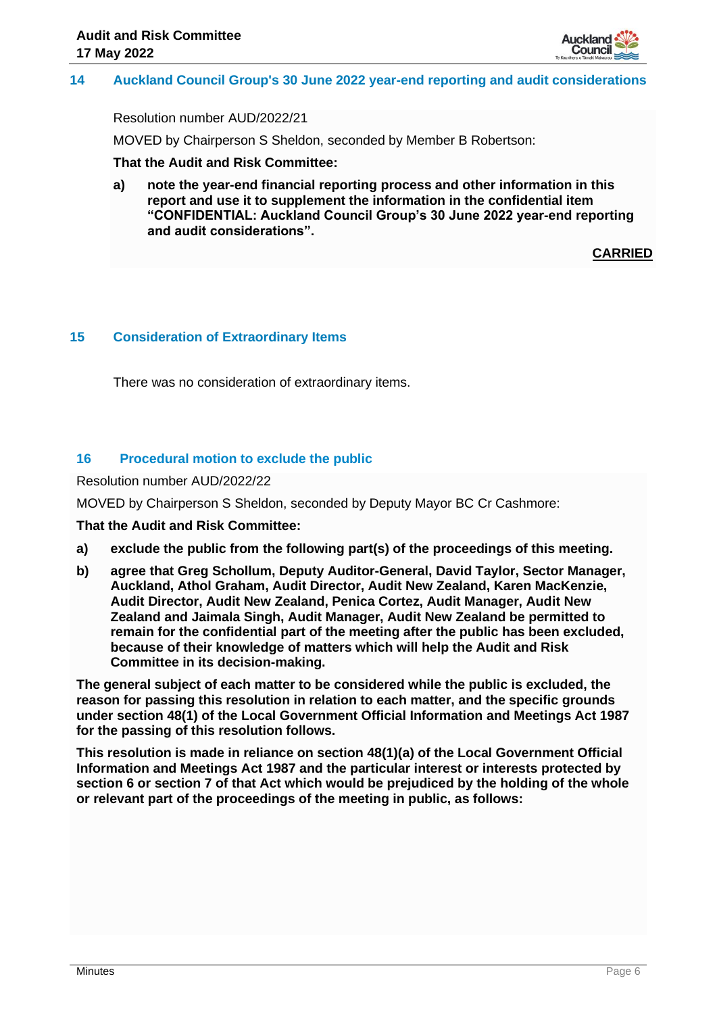

# **14 Auckland Council Group's 30 June 2022 year-end reporting and audit considerations**

Resolution number AUD/2022/21

MOVED by Chairperson S Sheldon, seconded by Member B Robertson:

**That the Audit and Risk Committee:**

**a) note the year-end financial reporting process and other information in this report and use it to supplement the information in the confidential item "CONFIDENTIAL: Auckland Council Group's 30 June 2022 year-end reporting and audit considerations".**

**CARRIED**

#### **15 Consideration of Extraordinary Items**

There was no consideration of extraordinary items.

# **16 Procedural motion to exclude the public**

Resolution number AUD/2022/22

MOVED by Chairperson S Sheldon, seconded by Deputy Mayor BC Cr Cashmore:

**That the Audit and Risk Committee:**

- **a) exclude the public from the following part(s) of the proceedings of this meeting.**
- **b) agree that Greg Schollum, Deputy Auditor-General, David Taylor, Sector Manager, Auckland, Athol Graham, Audit Director, Audit New Zealand, Karen MacKenzie, Audit Director, Audit New Zealand, Penica Cortez, Audit Manager, Audit New Zealand and Jaimala Singh, Audit Manager, Audit New Zealand be permitted to remain for the confidential part of the meeting after the public has been excluded, because of their knowledge of matters which will help the Audit and Risk Committee in its decision-making.**

**The general subject of each matter to be considered while the public is excluded, the reason for passing this resolution in relation to each matter, and the specific grounds under section 48(1) of the Local Government Official Information and Meetings Act 1987 for the passing of this resolution follows.**

**This resolution is made in reliance on section 48(1)(a) of the Local Government Official Information and Meetings Act 1987 and the particular interest or interests protected by section 6 or section 7 of that Act which would be prejudiced by the holding of the whole or relevant part of the proceedings of the meeting in public, as follows:**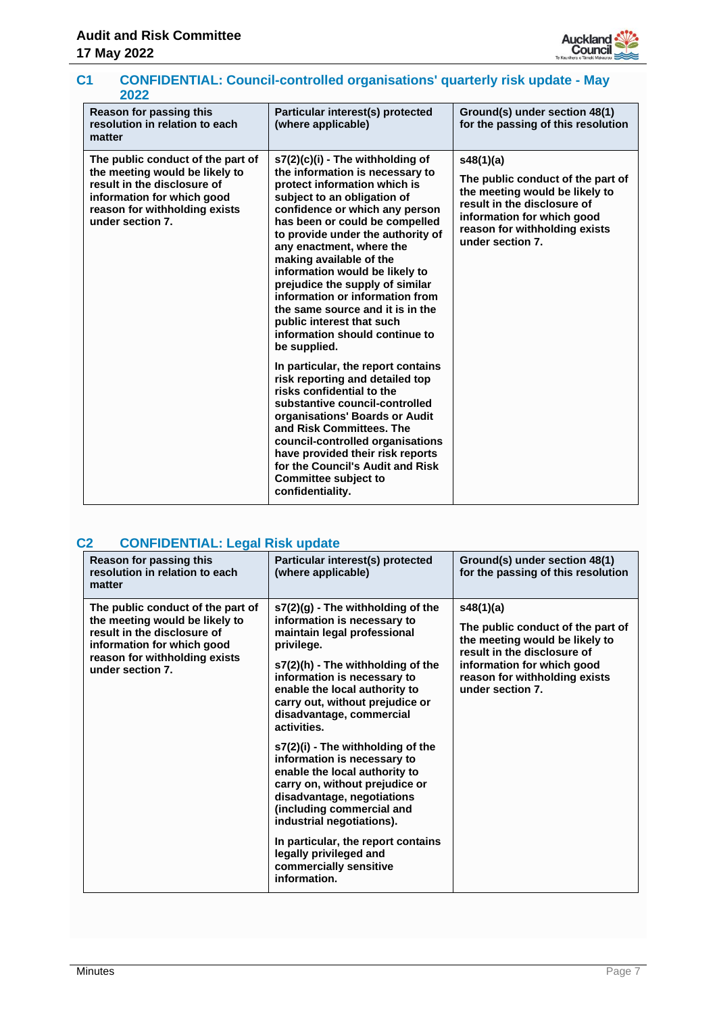

# **C1 CONFIDENTIAL: Council-controlled organisations' quarterly risk update - May 2022**

| Reason for passing this<br>resolution in relation to each<br>matter                                                                                                                   | Particular interest(s) protected<br>(where applicable)                                                                                                                                                                                                                                                                                                                                                                                                                                                                                                                                                                                                                                                                                                                                                                                                                                             | Ground(s) under section 48(1)<br>for the passing of this resolution                                                                                                                                |
|---------------------------------------------------------------------------------------------------------------------------------------------------------------------------------------|----------------------------------------------------------------------------------------------------------------------------------------------------------------------------------------------------------------------------------------------------------------------------------------------------------------------------------------------------------------------------------------------------------------------------------------------------------------------------------------------------------------------------------------------------------------------------------------------------------------------------------------------------------------------------------------------------------------------------------------------------------------------------------------------------------------------------------------------------------------------------------------------------|----------------------------------------------------------------------------------------------------------------------------------------------------------------------------------------------------|
| The public conduct of the part of<br>the meeting would be likely to<br>result in the disclosure of<br>information for which good<br>reason for withholding exists<br>under section 7. | s7(2)(c)(i) - The withholding of<br>the information is necessary to<br>protect information which is<br>subject to an obligation of<br>confidence or which any person<br>has been or could be compelled<br>to provide under the authority of<br>any enactment, where the<br>making available of the<br>information would be likely to<br>prejudice the supply of similar<br>information or information from<br>the same source and it is in the<br>public interest that such<br>information should continue to<br>be supplied.<br>In particular, the report contains<br>risk reporting and detailed top<br>risks confidential to the<br>substantive council-controlled<br>organisations' Boards or Audit<br>and Risk Committees. The<br>council-controlled organisations<br>have provided their risk reports<br>for the Council's Audit and Risk<br><b>Committee subject to</b><br>confidentiality. | s48(1)(a)<br>The public conduct of the part of<br>the meeting would be likely to<br>result in the disclosure of<br>information for which good<br>reason for withholding exists<br>under section 7. |

# **C2 CONFIDENTIAL: Legal Risk update**

| Reason for passing this<br>resolution in relation to each<br>matter                                                                                                                   | Particular interest(s) protected<br>(where applicable)                                                                                                                                                                                                                                                                                                                                                                                                                                                                                                                                                                                      | Ground(s) under section 48(1)<br>for the passing of this resolution                                                                                                                                |
|---------------------------------------------------------------------------------------------------------------------------------------------------------------------------------------|---------------------------------------------------------------------------------------------------------------------------------------------------------------------------------------------------------------------------------------------------------------------------------------------------------------------------------------------------------------------------------------------------------------------------------------------------------------------------------------------------------------------------------------------------------------------------------------------------------------------------------------------|----------------------------------------------------------------------------------------------------------------------------------------------------------------------------------------------------|
| The public conduct of the part of<br>the meeting would be likely to<br>result in the disclosure of<br>information for which good<br>reason for withholding exists<br>under section 7. | $s7(2)(q)$ - The withholding of the<br>information is necessary to<br>maintain legal professional<br>privilege.<br>s7(2)(h) - The withholding of the<br>information is necessary to<br>enable the local authority to<br>carry out, without prejudice or<br>disadvantage, commercial<br>activities.<br>s7(2)(i) - The withholding of the<br>information is necessary to<br>enable the local authority to<br>carry on, without prejudice or<br>disadvantage, negotiations<br>(including commercial and<br>industrial negotiations).<br>In particular, the report contains<br>legally privileged and<br>commercially sensitive<br>information. | s48(1)(a)<br>The public conduct of the part of<br>the meeting would be likely to<br>result in the disclosure of<br>information for which good<br>reason for withholding exists<br>under section 7. |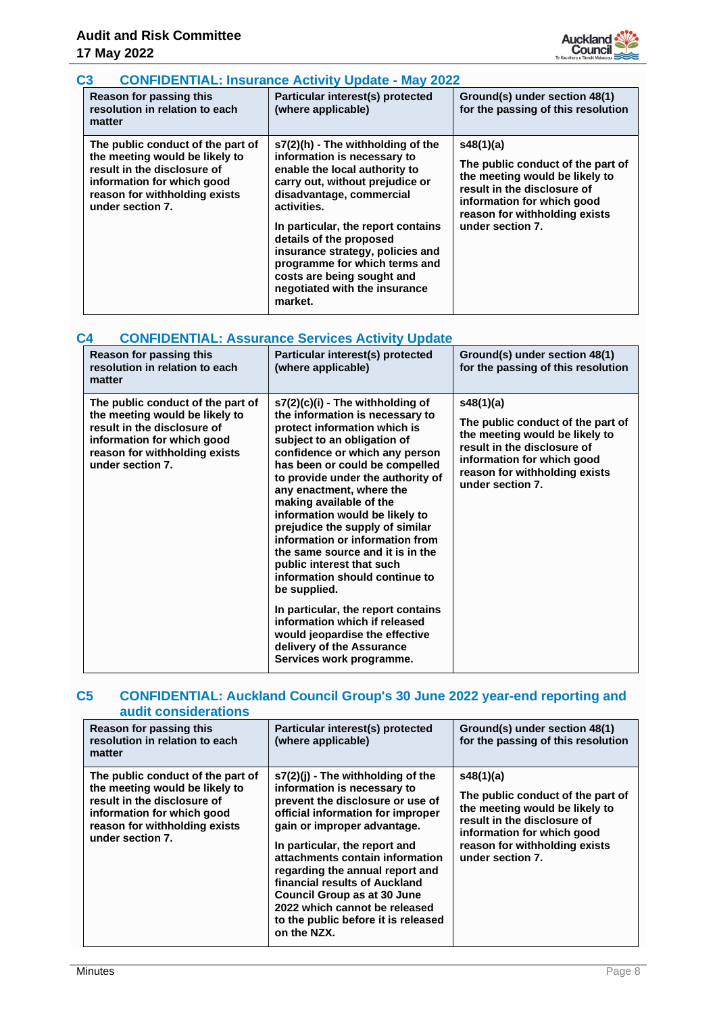

# **C3 CONFIDENTIAL: Insurance Activity Update - May 2022**

| Reason for passing this<br>resolution in relation to each<br>matter                                                                                                                   | Particular interest(s) protected<br>(where applicable)                                                                                                                                                                                                                                                                                                                                          | Ground(s) under section 48(1)<br>for the passing of this resolution                                                                                                                                |
|---------------------------------------------------------------------------------------------------------------------------------------------------------------------------------------|-------------------------------------------------------------------------------------------------------------------------------------------------------------------------------------------------------------------------------------------------------------------------------------------------------------------------------------------------------------------------------------------------|----------------------------------------------------------------------------------------------------------------------------------------------------------------------------------------------------|
| The public conduct of the part of<br>the meeting would be likely to<br>result in the disclosure of<br>information for which good<br>reason for withholding exists<br>under section 7. | s7(2)(h) - The withholding of the<br>information is necessary to<br>enable the local authority to<br>carry out, without prejudice or<br>disadvantage, commercial<br>activities.<br>In particular, the report contains<br>details of the proposed<br>insurance strategy, policies and<br>programme for which terms and<br>costs are being sought and<br>negotiated with the insurance<br>market. | s48(1)(a)<br>The public conduct of the part of<br>the meeting would be likely to<br>result in the disclosure of<br>information for which good<br>reason for withholding exists<br>under section 7. |

# **C4 CONFIDENTIAL: Assurance Services Activity Update**

| Reason for passing this<br>resolution in relation to each<br>matter                                                                                                                   | Particular interest(s) protected<br>(where applicable)                                                                                                                                                                                                                                                                                                                                                                                                                                                                                                                | Ground(s) under section 48(1)<br>for the passing of this resolution                                                                                                                                |
|---------------------------------------------------------------------------------------------------------------------------------------------------------------------------------------|-----------------------------------------------------------------------------------------------------------------------------------------------------------------------------------------------------------------------------------------------------------------------------------------------------------------------------------------------------------------------------------------------------------------------------------------------------------------------------------------------------------------------------------------------------------------------|----------------------------------------------------------------------------------------------------------------------------------------------------------------------------------------------------|
| The public conduct of the part of<br>the meeting would be likely to<br>result in the disclosure of<br>information for which good<br>reason for withholding exists<br>under section 7. | $s7(2)(c)(i)$ - The withholding of<br>the information is necessary to<br>protect information which is<br>subject to an obligation of<br>confidence or which any person<br>has been or could be compelled<br>to provide under the authority of<br>any enactment, where the<br>making available of the<br>information would be likely to<br>prejudice the supply of similar<br>information or information from<br>the same source and it is in the<br>public interest that such<br>information should continue to<br>be supplied.<br>In particular, the report contains | s48(1)(a)<br>The public conduct of the part of<br>the meeting would be likely to<br>result in the disclosure of<br>information for which good<br>reason for withholding exists<br>under section 7. |
|                                                                                                                                                                                       | information which if released<br>would jeopardise the effective<br>delivery of the Assurance<br>Services work programme.                                                                                                                                                                                                                                                                                                                                                                                                                                              |                                                                                                                                                                                                    |

# **C5 CONFIDENTIAL: Auckland Council Group's 30 June 2022 year-end reporting and audit considerations**

| Reason for passing this<br>resolution in relation to each<br>matter                                                                                                                   | Particular interest(s) protected<br>(where applicable)                                                                                                                                                                                                                                                                                                                                                                                          | Ground(s) under section 48(1)<br>for the passing of this resolution                                                                                                                                |
|---------------------------------------------------------------------------------------------------------------------------------------------------------------------------------------|-------------------------------------------------------------------------------------------------------------------------------------------------------------------------------------------------------------------------------------------------------------------------------------------------------------------------------------------------------------------------------------------------------------------------------------------------|----------------------------------------------------------------------------------------------------------------------------------------------------------------------------------------------------|
| The public conduct of the part of<br>the meeting would be likely to<br>result in the disclosure of<br>information for which good<br>reason for withholding exists<br>under section 7. | $s7(2)(i)$ - The withholding of the<br>information is necessary to<br>prevent the disclosure or use of<br>official information for improper<br>gain or improper advantage.<br>In particular, the report and<br>attachments contain information<br>regarding the annual report and<br>financial results of Auckland<br><b>Council Group as at 30 June</b><br>2022 which cannot be released<br>to the public before it is released<br>on the NZX. | s48(1)(a)<br>The public conduct of the part of<br>the meeting would be likely to<br>result in the disclosure of<br>information for which good<br>reason for withholding exists<br>under section 7. |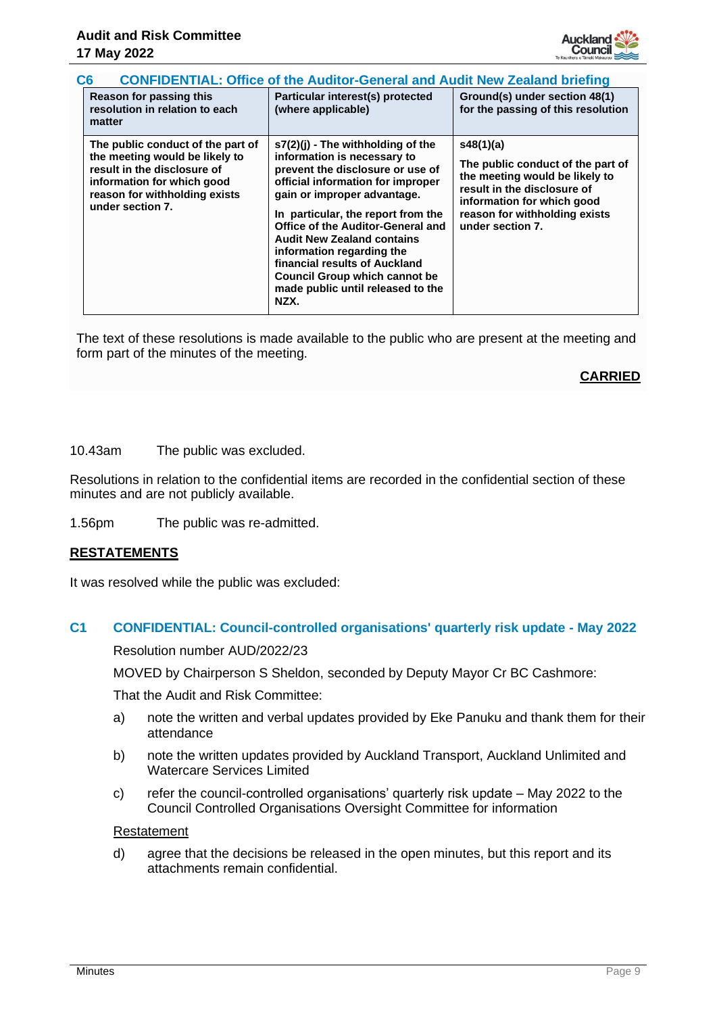

| <b>CONFIDENTIAL: Office of the Auditor-General and Audit New Zealand briefing</b><br>C <sub>6</sub> | . Because formation this | $\mathbf{I}$ Bestes that is the set of $\mathbf{A}$ which is the start | 1.0141 |
|-----------------------------------------------------------------------------------------------------|--------------------------|------------------------------------------------------------------------|--------|
|                                                                                                     |                          |                                                                        |        |

| Reason for passing this<br>resolution in relation to each<br>matter                                                                                                                   | Particular interest(s) protected<br>(where applicable)                                                                                                                                                                                                                                                                                                                                                                                        | Ground(s) under section 48(1)<br>for the passing of this resolution                                                                                                                                |
|---------------------------------------------------------------------------------------------------------------------------------------------------------------------------------------|-----------------------------------------------------------------------------------------------------------------------------------------------------------------------------------------------------------------------------------------------------------------------------------------------------------------------------------------------------------------------------------------------------------------------------------------------|----------------------------------------------------------------------------------------------------------------------------------------------------------------------------------------------------|
| The public conduct of the part of<br>the meeting would be likely to<br>result in the disclosure of<br>information for which good<br>reason for withholding exists<br>under section 7. | $s7(2)(i)$ - The withholding of the<br>information is necessary to<br>prevent the disclosure or use of<br>official information for improper<br>gain or improper advantage.<br>In particular, the report from the<br>Office of the Auditor-General and<br><b>Audit New Zealand contains</b><br>information regarding the<br>financial results of Auckland<br><b>Council Group which cannot be</b><br>made public until released to the<br>NZX. | s48(1)(a)<br>The public conduct of the part of<br>the meeting would be likely to<br>result in the disclosure of<br>information for which good<br>reason for withholding exists<br>under section 7. |

The text of these resolutions is made available to the public who are present at the meeting and form part of the minutes of the meeting.

# **CARRIED**

10.43am The public was excluded.

Resolutions in relation to the confidential items are recorded in the confidential section of these minutes and are not publicly available.

1.56pm The public was re-admitted.

# **RESTATEMENTS**

It was resolved while the public was excluded:

# **C1 CONFIDENTIAL: Council-controlled organisations' quarterly risk update - May 2022**

Resolution number AUD/2022/23

MOVED by Chairperson S Sheldon, seconded by Deputy Mayor Cr BC Cashmore:

That the Audit and Risk Committee:

- a) note the written and verbal updates provided by Eke Panuku and thank them for their attendance
- b) note the written updates provided by Auckland Transport, Auckland Unlimited and Watercare Services Limited
- c) refer the council-controlled organisations' quarterly risk update May 2022 to the Council Controlled Organisations Oversight Committee for information

#### Restatement

d) agree that the decisions be released in the open minutes, but this report and its attachments remain confidential.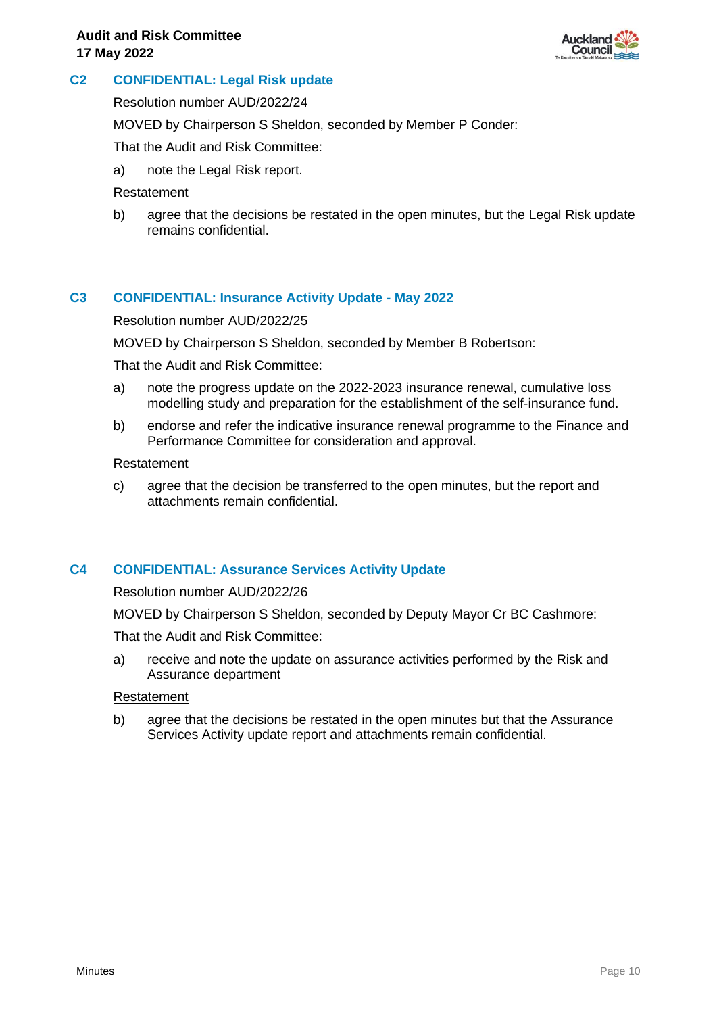

# **C2 CONFIDENTIAL: Legal Risk update**

Resolution number AUD/2022/24

MOVED by Chairperson S Sheldon, seconded by Member P Conder:

That the Audit and Risk Committee:

a) note the Legal Risk report.

#### Restatement

b) agree that the decisions be restated in the open minutes, but the Legal Risk update remains confidential.

# **C3 CONFIDENTIAL: Insurance Activity Update - May 2022**

#### Resolution number AUD/2022/25

MOVED by Chairperson S Sheldon, seconded by Member B Robertson:

That the Audit and Risk Committee:

- a) note the progress update on the 2022-2023 insurance renewal, cumulative loss modelling study and preparation for the establishment of the self-insurance fund.
- b) endorse and refer the indicative insurance renewal programme to the Finance and Performance Committee for consideration and approval.

#### **Restatement**

c) agree that the decision be transferred to the open minutes, but the report and attachments remain confidential.

# **C4 CONFIDENTIAL: Assurance Services Activity Update**

Resolution number AUD/2022/26

MOVED by Chairperson S Sheldon, seconded by Deputy Mayor Cr BC Cashmore:

That the Audit and Risk Committee:

a) receive and note the update on assurance activities performed by the Risk and Assurance department

# Restatement

b) agree that the decisions be restated in the open minutes but that the Assurance Services Activity update report and attachments remain confidential.